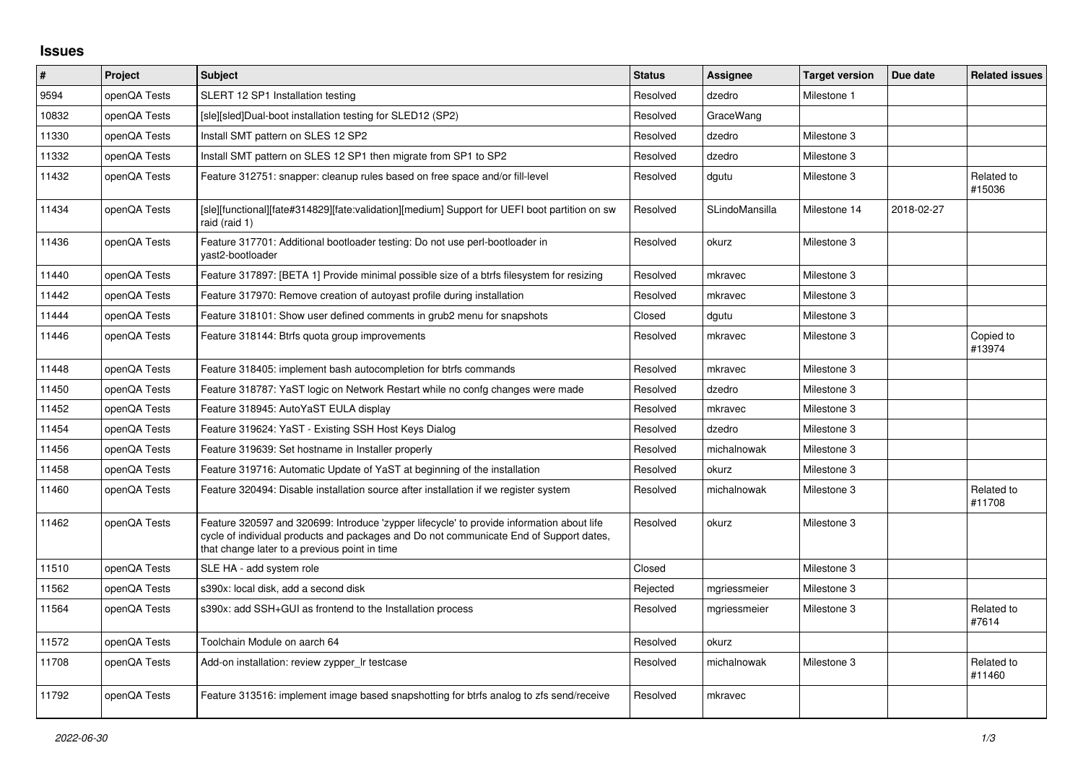## **Issues**

| $\vert$ # | <b>Project</b> | <b>Subject</b>                                                                                                                                                                                                                       | <b>Status</b> | Assignee       | <b>Target version</b> | Due date   | <b>Related issues</b> |
|-----------|----------------|--------------------------------------------------------------------------------------------------------------------------------------------------------------------------------------------------------------------------------------|---------------|----------------|-----------------------|------------|-----------------------|
| 9594      | openQA Tests   | SLERT 12 SP1 Installation testing                                                                                                                                                                                                    | Resolved      | dzedro         | Milestone 1           |            |                       |
| 10832     | openQA Tests   | [sle][sled]Dual-boot installation testing for SLED12 (SP2)                                                                                                                                                                           | Resolved      | GraceWang      |                       |            |                       |
| 11330     | openQA Tests   | Install SMT pattern on SLES 12 SP2                                                                                                                                                                                                   | Resolved      | dzedro         | Milestone 3           |            |                       |
| 11332     | openQA Tests   | Install SMT pattern on SLES 12 SP1 then migrate from SP1 to SP2                                                                                                                                                                      | Resolved      | dzedro         | Milestone 3           |            |                       |
| 11432     | openQA Tests   | Feature 312751: snapper: cleanup rules based on free space and/or fill-level                                                                                                                                                         | Resolved      | dgutu          | Milestone 3           |            | Related to<br>#15036  |
| 11434     | openQA Tests   | [sle][functional][fate#314829][fate:validation][medium] Support for UEFI boot partition on sw<br>raid (raid 1)                                                                                                                       | Resolved      | SLindoMansilla | Milestone 14          | 2018-02-27 |                       |
| 11436     | openQA Tests   | Feature 317701: Additional bootloader testing: Do not use perl-bootloader in<br>vast2-bootloader                                                                                                                                     | Resolved      | okurz          | Milestone 3           |            |                       |
| 11440     | openQA Tests   | Feature 317897: [BETA 1] Provide minimal possible size of a btrfs filesystem for resizing                                                                                                                                            | Resolved      | mkravec        | Milestone 3           |            |                       |
| 11442     | openQA Tests   | Feature 317970: Remove creation of autoyast profile during installation                                                                                                                                                              | Resolved      | mkravec        | Milestone 3           |            |                       |
| 11444     | openQA Tests   | Feature 318101: Show user defined comments in grub2 menu for snapshots                                                                                                                                                               | Closed        | dgutu          | Milestone 3           |            |                       |
| 11446     | openQA Tests   | Feature 318144: Btrfs quota group improvements                                                                                                                                                                                       | Resolved      | mkravec        | Milestone 3           |            | Copied to<br>#13974   |
| 11448     | openQA Tests   | Feature 318405: implement bash autocompletion for btrfs commands                                                                                                                                                                     | Resolved      | mkravec        | Milestone 3           |            |                       |
| 11450     | openQA Tests   | Feature 318787: YaST logic on Network Restart while no confg changes were made                                                                                                                                                       | Resolved      | dzedro         | Milestone 3           |            |                       |
| 11452     | openQA Tests   | Feature 318945: AutoYaST EULA display                                                                                                                                                                                                | Resolved      | mkravec        | Milestone 3           |            |                       |
| 11454     | openQA Tests   | Feature 319624: YaST - Existing SSH Host Keys Dialog                                                                                                                                                                                 | Resolved      | dzedro         | Milestone 3           |            |                       |
| 11456     | openQA Tests   | Feature 319639: Set hostname in Installer properly                                                                                                                                                                                   | Resolved      | michalnowak    | Milestone 3           |            |                       |
| 11458     | openQA Tests   | Feature 319716: Automatic Update of YaST at beginning of the installation                                                                                                                                                            | Resolved      | okurz          | Milestone 3           |            |                       |
| 11460     | openQA Tests   | Feature 320494: Disable installation source after installation if we register system                                                                                                                                                 | Resolved      | michalnowak    | Milestone 3           |            | Related to<br>#11708  |
| 11462     | openQA Tests   | Feature 320597 and 320699: Introduce 'zypper lifecycle' to provide information about life<br>cycle of individual products and packages and Do not communicate End of Support dates,<br>that change later to a previous point in time | Resolved      | okurz          | Milestone 3           |            |                       |
| 11510     | openQA Tests   | SLE HA - add system role                                                                                                                                                                                                             | Closed        |                | Milestone 3           |            |                       |
| 11562     | openQA Tests   | s390x: local disk, add a second disk                                                                                                                                                                                                 | Rejected      | mgriessmeier   | Milestone 3           |            |                       |
| 11564     | openQA Tests   | s390x: add SSH+GUI as frontend to the Installation process                                                                                                                                                                           | Resolved      | mgriessmeier   | Milestone 3           |            | Related to<br>#7614   |
| 11572     | openQA Tests   | Toolchain Module on aarch 64                                                                                                                                                                                                         | Resolved      | okurz          |                       |            |                       |
| 11708     | openQA Tests   | Add-on installation: review zypper_Ir testcase                                                                                                                                                                                       | Resolved      | michalnowak    | Milestone 3           |            | Related to<br>#11460  |
| 11792     | openQA Tests   | Feature 313516: implement image based snapshotting for btrfs analog to zfs send/receive                                                                                                                                              | Resolved      | mkravec        |                       |            |                       |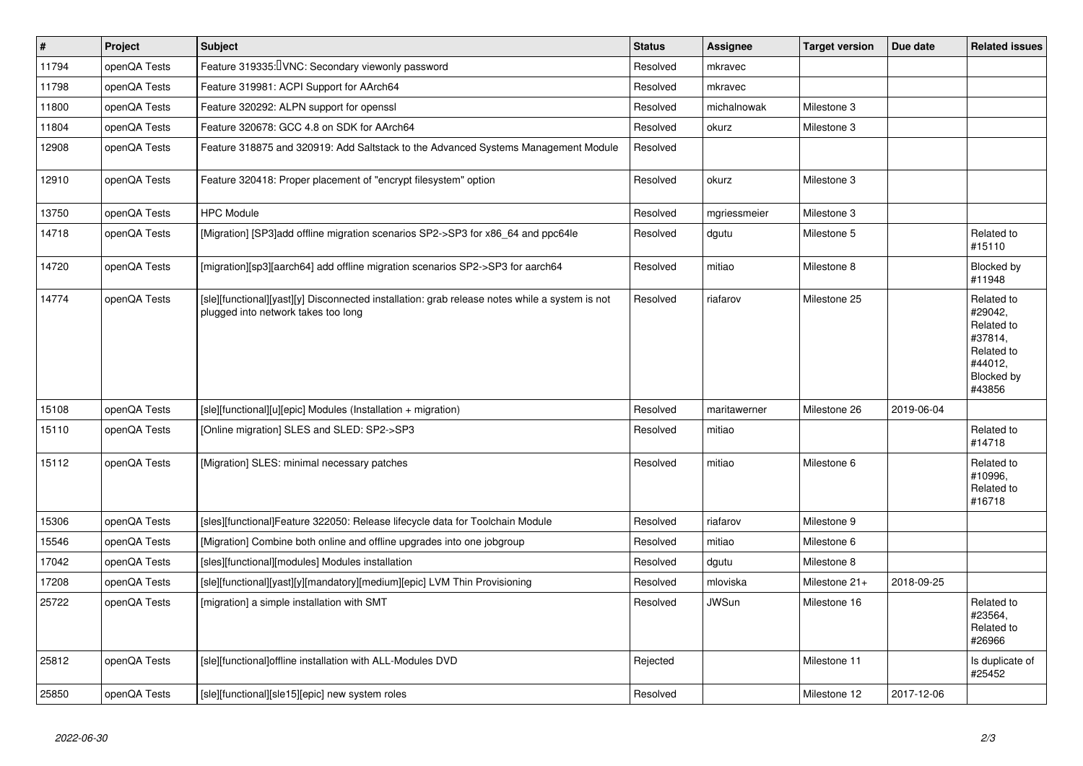| #     | Project      | <b>Subject</b>                                                                                                                        | <b>Status</b> | Assignee     | <b>Target version</b> | Due date   | <b>Related issues</b>                                                                           |
|-------|--------------|---------------------------------------------------------------------------------------------------------------------------------------|---------------|--------------|-----------------------|------------|-------------------------------------------------------------------------------------------------|
| 11794 | openQA Tests | Feature 319335: UNC: Secondary viewonly password                                                                                      | Resolved      | mkravec      |                       |            |                                                                                                 |
| 11798 | openQA Tests | Feature 319981: ACPI Support for AArch64                                                                                              | Resolved      | mkravec      |                       |            |                                                                                                 |
| 11800 | openQA Tests | Feature 320292: ALPN support for openssl                                                                                              | Resolved      | michalnowak  | Milestone 3           |            |                                                                                                 |
| 11804 | openQA Tests | Feature 320678: GCC 4.8 on SDK for AArch64                                                                                            | Resolved      | okurz        | Milestone 3           |            |                                                                                                 |
| 12908 | openQA Tests | Feature 318875 and 320919: Add Saltstack to the Advanced Systems Management Module                                                    | Resolved      |              |                       |            |                                                                                                 |
| 12910 | openQA Tests | Feature 320418: Proper placement of "encrypt filesystem" option                                                                       | Resolved      | okurz        | Milestone 3           |            |                                                                                                 |
| 13750 | openQA Tests | <b>HPC Module</b>                                                                                                                     | Resolved      | mgriessmeier | Milestone 3           |            |                                                                                                 |
| 14718 | openQA Tests | [Migration] [SP3]add offline migration scenarios SP2->SP3 for x86 64 and ppc64le                                                      | Resolved      | dgutu        | Milestone 5           |            | Related to<br>#15110                                                                            |
| 14720 | openQA Tests | [migration][sp3][aarch64] add offline migration scenarios SP2->SP3 for aarch64                                                        | Resolved      | mitiao       | Milestone 8           |            | Blocked by<br>#11948                                                                            |
| 14774 | openQA Tests | [sle][functional][yast][y] Disconnected installation: grab release notes while a system is not<br>plugged into network takes too long | Resolved      | riafarov     | Milestone 25          |            | Related to<br>#29042,<br>Related to<br>#37814,<br>Related to<br>#44012,<br>Blocked by<br>#43856 |
| 15108 | openQA Tests | [sle][functional][u][epic] Modules (Installation + migration)                                                                         | Resolved      | maritawerner | Milestone 26          | 2019-06-04 |                                                                                                 |
| 15110 | openQA Tests | [Online migration] SLES and SLED: SP2->SP3                                                                                            | Resolved      | mitiao       |                       |            | Related to<br>#14718                                                                            |
| 15112 | openQA Tests | [Migration] SLES: minimal necessary patches                                                                                           | Resolved      | mitiao       | Milestone 6           |            | Related to<br>#10996,<br>Related to<br>#16718                                                   |
| 15306 | openQA Tests | [sles][functional]Feature 322050: Release lifecycle data for Toolchain Module                                                         | Resolved      | riafarov     | Milestone 9           |            |                                                                                                 |
| 15546 | openQA Tests | [Migration] Combine both online and offline upgrades into one jobgroup                                                                | Resolved      | mitiao       | Milestone 6           |            |                                                                                                 |
| 17042 | openQA Tests | [sles][functional][modules] Modules installation                                                                                      | Resolved      | dgutu        | Milestone 8           |            |                                                                                                 |
| 17208 | openQA Tests | [sle][functional][yast][y][mandatory][medium][epic] LVM Thin Provisioning                                                             | Resolved      | mloviska     | Milestone 21+         | 2018-09-25 |                                                                                                 |
| 25722 | openQA Tests | [migration] a simple installation with SMT                                                                                            | Resolved      | <b>JWSun</b> | Milestone 16          |            | Related to<br>#23564,<br>Related to<br>#26966                                                   |
| 25812 | openQA Tests | [sle][functional]offline installation with ALL-Modules DVD                                                                            | Rejected      |              | Milestone 11          |            | Is duplicate of<br>#25452                                                                       |
| 25850 | openQA Tests | [sle][functional][sle15][epic] new system roles                                                                                       | Resolved      |              | Milestone 12          | 2017-12-06 |                                                                                                 |